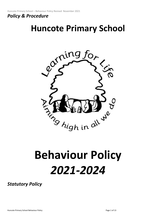# *Policy & Procedure*

# **Huncote Primary School**



# **Behaviour Policy**  *2021-2024*

*Statutory Policy*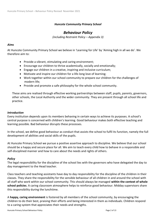# *Huncote Community Primary School*

# *Behaviour Policy*

*(including Restraint Policy – Appendix 3)*

# *Aims*

At Huncote Community Primary School we believe in 'Learning for Life' by 'Aiming high in all we do'. We therefore aim to:

- Provide a vibrant, stimulating and caring environment;
- Encourage our children to thrive academically, socially and emotionally;
- Engage our children in a creative, inspiring and inclusive curriculum;
- Motivate and inspire our children for a life-long love of learning;
- Work together within our school community to prepare our children for the challenges of modern life;
- Provide and promote a safe philosophy for the whole school community.

These aims are realised through effective working partnerships between staff, pupils, parents, governors, other schools, the Local Authority and the wider community. They are present through all school life and practice.

## *Introduction*

Every institution depends upon its members behaving in certain ways to achieve its purposes. A school's central purpose is concerned with children's learning. Good behaviour makes both effective teaching and learning possible. Bad behaviour disrupts these processes.

In the school, we define good behaviour as conduct that assists the school to fulfil its function, namely the full development of abilities and social skills of the pupils.

At Huncote Primary School we pursue a positive assertive approach to discipline. We believe that our school should be a happy and secure place for all. We aim to teach every child how to behave in a responsible and self-disciplined manner and how to care about the needs and rights of others.

## *Policy*

The legal responsibility for the discipline of the school lies with the governors who have delegated the day to day management to the Head teacher.

Class teachers and teaching assistants have day to day responsibility for the discipline of the children in their classes. They share the responsibility for the sensible behaviour of all children in and around the school with all staff who work within our school community. This should always be managed **within the context of whole school policies**. A caring classroom atmosphere helps to reinforce good behaviour. Midday supervisors share this responsibility during the lunchtime.

A **happy, caring environment** is fostered by all members of the school community, by encouraging the children to do their best, praising their efforts and being interested in them as individuals. Children respond to a caring system that appreciates their needs and strengths.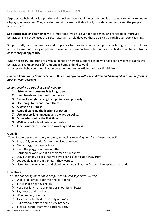**Appropriate behaviour** is a priority and is insisted upon at all times. Our pupils are taught to be polite and to display good manners. They are also taught to care for their school, its wider community and the people around them.

**Self-confidence and self-esteem** are important. Praise is given for politeness and for good or improved behaviour. The school uses the SEAL materials to help develop these qualities through classroom teaching.

Support staff, part time teachers and supply teachers are informed about problems facing particular children and of the methods being employed to overcome these problems. In this way the children can benefit from a **consistency of approach.** 

When necessary, children are given guidance on how to support a child who has been a victim of aggressive behaviour. *See Appendix 1* **(If someone is being unkind to you)**

If necessary, behaviour modification programmes are negotiated for specific children.

# *Huncote Community Primary School's Rules – as agreed with the children and displayed in a similar form in all classroom charters*

*In our school we agree that we all need to -*

- **1. Listen when someone is talking to us.**
- **2. Keep hands and our feet to ourselves.**
- **3. Respect everybody's rights, opinions and property.**
- **4. Use things fairly and share them.**
- **5. Always do our best**
- **6. Avoid disturbing the learning of others.**
- **7. Use appropriate language and always be polite.**
- **8. Do as adults ask – the first time.**
- **9. Walk around school quietly and safely.**
- **10. Treat visitors to school with courtesy and kindness.**

## **Outside**

*To make our playground a happy place, as well as following our class charters we will…* 

- $\triangleright$  Play safely so we don't hurt ourselves or others
- $\triangleright$  Share playground space fairly
- $\triangleright$  Keep the playground free of litter
- $\triangleright$  Befriend anyone who is on their own or unhappy.
- $\triangleright$  Stay out of any places that we have been asked to stay away from
- $\triangleright$  Let people join in our games, if they want to
- $\triangleright$  Listen for the whistle to end playtime stand still at the first and line up at the second

# **Lunchtime**

*To make our dining room hall a happy, healthy and safe place, we will…* 

- $\triangleright$  Walk at all times (quietly in the corridors)
- $\triangleright$  Try to make healthy choices
- $\triangleright$  Keep our lunch on our plates or in our lunch boxes
- $\triangleright$  Say please and thank you
- $\triangleright$  When eating, don't talk
- ➢ Talk quietly to children on only *our table*
- $\triangleright$  Put away our plates and cutlery properly
- $\triangleright$  Treat all school staff with equal respect.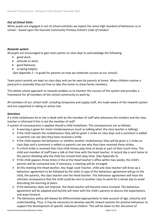# *Out of School Visits*

When pupils are engaged in out of school activities we expect the same high standard of behaviour as in school – based upon the *Huncote Community Primary School's Code of Conduct*

# *Rewards system*

All pupils are encouraged to gain team points on class dojo to acknowledge the following:

- good work,
- attitude to work,
- good behavior,
- or being helpful.

*(See Appendix 2 –* A guide for parents on how we celebrate success at our school*).*

Team point records are kept on class dojo and can be seen by parents at home. When children receive a postcard in assembly they are free to take this home to show family members.

This whole school approach to rewards enables us to monitor the success of the system and provides a framework for all members of the school community to work by.

All members of our school staff, including temporary and supply staff, are made aware of the rewards system and are supported in taking an active role.

## *Sanctions*

If a child misbehaves he or she is dealt with by the member of staff who witnesses the incident and the class teacher is informed if this is not the member of staff.

A system of consequences is applied should a child misbehave. The consequences are as follows:

- $\triangleright$  A warning is given for minor misdemeanours (such as talking when the class teacher is talking).
- $\triangleright$  If the child repeats the misbehaviour they will be given 1 strike on class dojo and a comment is added so parents can see why they have received a strike.
- $\triangleright$  If the child repeats the behaviour or exhibits another misbehaviour they will be given a 2 strike on class dojo and a comment is added so parents can see why they have received these strikes.
- $\triangleright$  If a third strike is received then that child misses play-time at break or part of their lunch-time. The child and member of staff have a talk at that time with the head teacher. A record slip is sent home to the parent detailing why the child has missed their play-time. (See Appendix 3).
- $\triangleright$  If the child appears three times in the at the Head teacher's office within two weeks, the child's parents will be contacted and, if necessary, a meeting will be arranged.
- $\triangleright$  At this meeting the Head teacher, Key Stage Lead Teacher, child and class teacher will draw up a behaviour agreement to be followed by the child. A copy of the behaviour agreement will go to the child, the parents, the class teacher and the Head teacher. This behaviour agreement will have the ultimate consequence that the child could be sent to another class to work for a whole day to avoid disturbing the learning of peers.
- $\triangleright$  If the behaviour does not improve, the Head teacher will become more involved. The behaviour agreement will be adapted and he/she will meet with the child's parents to discuss the expectations and ways forward.
- $\triangleright$  The behaviour policy will always be differentiated appropriately to take account of age, maturity and understanding. Thus, it may be necessary to develop specific reward systems for positive behaviour to support the development of specific individual children. This will be down to the discretion of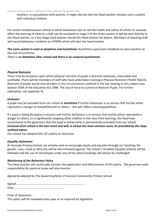teachers, in consultation with parents. It might also be that the Head teacher initiates such a system with individual children.

For severe misdemeanours (those in which behaviours put at risk the health and safety of others or severely affect the learning of others) a child can be escalated to stage 3 of the strike system or will be sent directly to the Head teacher, or a Key Stage Lead teacher should the Head teacher be absent. Members of teaching staff will record behaviour incidents on CPOMS which will alert the head teacher.

**The same system is used at playtimes and lunchtimes** (lunchtime supervisors feedback to class teachers at the end of lunchtime.

There is **no detention after school and there is no corporal punishment**.

# *Physical Restraint*

There may be occasions upon which physical restraint of pupils is deemed necessary, reasonable and justifiable. There will be members of staff who have undertaken training in Physical Restraint (TEAM TEACH). Restraint of pupils would only be taken in the circumstances outlined in the law relating to this subject (see Section 550A of the Education Act 1996: The Use of force to Control or Restrain Pupils. For further claification, see appendix 4).

# *Exclusion*

A pupil may be excluded from our school at **lunchtime** if his/her behaviour is so serious that he/she either represents a danger to himself/herself or others – this will reflect national guidelines.

If a pupil is being disruptive in lessons and his/her behaviour is so serious that he/she either represents a danger to others, or is significantly stopping other children in the class from learning, the Head may recommend to the governors that the pupil is temporarily or permanently excluded from our school. *Exclusion from school is the last resort and will, in all but the most extreme cases, be preceded by the steps outlined above.*

Our school has adopted the LA's policy on exclusion.

## *Equality Statement*

At Huncote Primary School, we actively seek to encourage equity and equality through our teaching. No gender, race, creed or ethnicity will be discriminated against. The school's Disability Equality Scheme will be followed and the use of stereotypes under any of the above headings will always be challenged.

# *Monitoring of the Behaviour Policy*

The Head teacher will continually monitor the application and effectiveness of this policy. The governors with responsibility for pastoral issues will also monitor.

Agreed & adopted by The Governing Body of Huncote Community Primary School

Signed……………………………………………………………………………….…. Date…………………………………………………………….

Chair of Governors

This policy will be reviewed every year or as required by legislation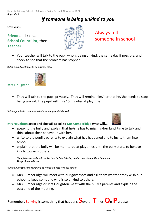Huncote Primary School – Behaviour Policy Revised November 2021 *Appendix 1*

# *If someone is being unkind to you*

**1 Tell your…**

**Friend** and / or… **School Councillor,** then… **Teacher**



Always tell someone in school

• Your teacher will talk to the pupil who is being unkind, the same day if possible, and check to see that the problem has stopped.

**2** *If the pupil continues to be unkind, tell…*



# **Mrs Houghton**

• They will talk to the pupil privately. They will remind him/her that he/she needs to stop being unkind. The pupil will miss 15 minutes at playtime.

**3** *If the pupil still continues to behave inappropriately, tell…*

# **Mrs Houghton again and she will speak to Mrs Cumberlidge who will…**

- speak to the bully and explain that he/she has to miss his/her lunchtime to talk and think about their behaviour with her.
- write to the pupil's parents to explain what has happened and to invite them into school.
- explain that the bully will be monitored at playtimes until the bully starts to behave kindly towards others.

*Hopefully, the bully will realise that he/she is being unkind and change their behaviour. The problem will stop.*

**4** *If the bully still cannot behave as we would expect in our school*

- Mrs Cumberlidge will meet with our governors and ask them whether they wish our school to keep someone who is so unkind to others.
- Mrs Cumberlidge or Mrs Houghton meet with the bully's parents and explain the outcome of the meeting.

Remember. Bullying is something that happens **S**everal **T**imes**O**<sup>n</sup> **P**urpose

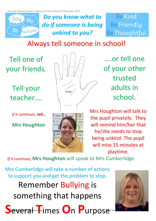

*Do you know what to do if someone is being unkind to you?*

**Be Kind Be Friendly Be Thoughtful** 

# Always tell someone in school!

Tell one of your friends.

> Tell your teacher….

*If it continues, tell…*

**Mrs Houghton**





….or tell one of your other trusted adults in school.

Mrs Houghton will talk to the pupil privately. They will remind him/her that he/she needs to stop being unkind. The pupil will miss 15 minutes at playtime.

*If it continues,* **Mrs Houghton** will speak to Mrs Cumberlidge

Mrs Cumberlidge will take a number of actions to support you and get the problem to stop.

Remember Bullying is something that happens

 $\mathbb{H}$  of Behaviour Policy Policy  $\mathbf{A} \cap \mathbf{A} \subset \mathbb{R}$  and  $\mathbb{R}$  and  $\mathbb{R}$  is  $\mathbb{R}$  and  $\mathbb{R}$  and  $\mathbb{R}$  is  $\mathbb{R}$  and  $\mathbb{R}$  is  $\mathbb{R}$  and  $\mathbb{R}$  is  $\mathbb{R}$  and  $\mathbb{R}$  is  $\mathbb{R}$  and  $\mathbb{$ **S**everal **T**imes **O**<sup>n</sup> **P**urpose

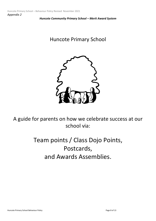*Huncote Community Primary School – Merit Award System*

# Huncote Primary School



A guide for parents on how we celebrate success at our school via:

# Team points / Class Dojo Points, Postcards, and Awards Assemblies.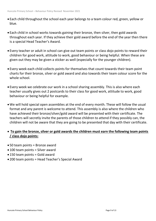- Each child throughout the school each year belongs to a team colour red, green, yellow or blue.
- Each child in school works towards gaining their bronze, then silver, then gold awards throughout each year. If they achieve their gold award before the end of the year then there is a special Head Teacher's Award.
- Every teacher or adult in school can give out team points or class dojo points to reward their children for good work, attitude to work, good behaviour or being helpful. When these are given out they may be given a sticker as well (especially for the younger children).
- Every week each child collects points for themselves that count towards their team point charts for their bronze, silver or gold award and also towards their team colour score for the whole school.
- Every week we celebrate our work in a school sharing assembly. This is also where each teacher usually gives out 2 postcards to their class for good work, attitude to work, good behaviour or being helpful for example.
- •We will hold special open assemblies at the end of every month. These will follow the usual format and any parent is welcome to attend. This assembly is also where the children who have achieved their bronze/silver/gold award will be presented with their certificate. The teachers will secretly invite the parents of those children to attend if they possibly can, the children will not be aware that they are going to be presented that day with their certificate.

# • **To gain the bronze, silver or gold awards the children must earn the following team points / class dojo points:**

- 50 team points = Bronze award
- 100 team points = Silver award
- 150 team points = Gold award
- 200 team points = Head Teacher's Special Award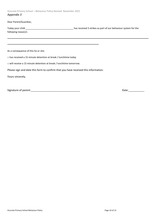Huncote Primary School – Behaviour Policy Revised November 2021 *Appendix 3*

Dear Parent/Guardian,

| Today your child    | has received 3 strikes as part of our behaviour system for the |
|---------------------|----------------------------------------------------------------|
| following reason/s: |                                                                |

\_\_\_\_\_\_\_\_\_\_\_\_\_\_\_\_\_\_\_\_\_\_\_\_\_\_\_\_\_\_\_\_\_\_\_\_\_\_\_\_\_\_\_\_\_\_\_\_\_\_\_\_\_\_\_\_\_\_\_\_\_\_\_\_\_\_\_\_

As a consequence of this he or she:

□ has received a 15 minute detention at break / lunchtime today

□ will receive a 15 minute detention at break / lunchtime tomorrow.

Please sign and date this form to confirm that you have received this information.

\_\_\_\_\_\_\_\_\_\_\_\_\_\_\_\_\_\_\_\_\_\_\_\_\_\_\_\_\_\_\_\_\_\_\_\_\_\_\_\_\_\_\_\_

Yours sincerely,

Signature of parent:\_\_\_\_\_\_\_\_\_\_\_\_\_\_\_\_\_\_\_\_\_\_\_\_\_\_\_\_\_\_\_\_\_\_ Date:\_\_\_\_\_\_\_\_\_\_\_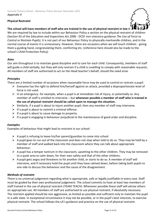# **Physical Restraint**



The school will have members of staff who are trained in the use of physical restraint in low ri

We are required by law to include within our Behaviour Policy a section on the physical restraint of children (Section 93 of the *Education and Inspections Act 2006* - DCSF non-statutory guidance *The Use of Force to Control or Restrain Pupils*). It is not part of our Behaviour Policy to physically manhandle children, and in the normal course of events it is unnecessary. However, there are occasions when we will touch children - giving them a guiding hand, congratulating them, comforting etc. (reference here should also be made to the school's Child Protection Policy)

# *Aims*

Our aim throughout is to maintain good discipline and to care for each child. Consequently, members of staff will guide a child verbally, but they will only restrain if a child is unwilling to comply with reasonable requests. All members of staff are authorised to act on the Head teacher's behalf, should the need arise.

# *Principles*

There are a limited number of occasions when reasonable force may be used to control or restrain a pupil:

- ➢ Everyone has the right to defend him/herself against an attack, provided a disproportionate level of force is not used.
- $\triangleright$  In an emergency- for example, when a pupil is at immediate risk of injury, or potentially so. Any member of staff is entitled to intervene – but **whenever possible a member of staff who is trained in the use of physical restraint should be called upon to manage the situation.**
- $\triangleright$  Similarly, if a pupil is about to injure another pupil, then any member of staff may intervene.
- $\triangleright$  If a pupil is about to commit a criminal offence.
- $\triangleright$  If a pupil is about to cause damage to property.
- $\triangleright$  If a pupil is engaging in behaviour prejudicial to the maintenance of good order and discipline.

# *Examples*

Examples of behaviour that might lead to restraint in our school:

- $\triangleright$  A pupil is refusing to leave his/her parent/guardian to come into school
- $\triangleright$  A pupil goes to run out of the classroom and does not stop when told to do so. They may be held by a member of staff and walked back into the classroom where they can talk about appropriate behaviour;
- $\triangleright$  A pupil has a temper tantrum in the classroom, upsetting to the other children. They may be removed to a quiet area to calm down, for their own safety and that of the other children;
- $\triangleright$  A pupil gets angry and threatens to hit another child, or starts to do so. A member of staff will intervene, and if necessary hold the pupil until they have calmed down, before taking both pupils to one side to discuss the behaviour and the cause of the disagreement.

# *Methods of restraint*

There is no universal judgement regarding what is appropriate, safe or legally justifiable in every case. Staff must be guided by their own professional judgement. The school commits to have at least two members of staff trained in the use of physical restraint (TEAM TEACH). Whenever possible these staff will advise others on appropriate use. All members of staff are authorised to use physical restraint, if absolutely necessary The restraint applied should be non aggressive, as limited as possible and sufficient only to maintain the pupil in a safe state. In exceptional circumstance it may not be possible, or in the pupil's best interests, to exercise physical restraint. The school follows the LA's guidance and practice on the use of physical restraint.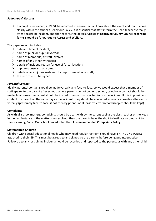# *Follow-up & Records*

 $\triangleright$  If a pupil is restrained, it MUST be recorded to ensure that all know about the event and that it comes clearly within the school's Behaviour Policy. It is essential that staff inform the Head teacher verbally after a restraint incident, and then records the details. **Copies of approved County Council recording forms should be forwarded to Access and Welfare.**

The paper record includes

- $\triangleright$  date and time of incident;
- $\triangleright$  name of pupil or pupils involved;
- $\triangleright$  name of member(s) of staff involved;
- $\triangleright$  names of any other witnesses;
- $\triangleright$  details of incident, reason for use of force, location;
- $\triangleright$  pupil response and outcome;
- $\triangleright$  details of any injuries sustained by pupil or member of staff;
- $\triangleright$  the record must be signed.

## *Parental Contact*

Ideally, parental contact should be made verbally and face-to-face, so we would expect that a member of staff speaks to the parent after school. Where parents do not come to school, telephone contact should be made. In all cases, the parent should be invited to come to school to discuss the incident. If it is impossible to contact the parent on the same day as the incident, they should be contacted as soon as possible afterwards, verbally (preferably face-to-face, if not then by phone) or at least by letter (records/copies should be kept).

#### **Complaints**

As with all school matters, complaints should be dealt with by the parent seeing the class teacher or the Head in the first instance. If the matter is unresolved, then the parents have the right to instigate a complaint to the Governing Body. Our school has adopted the **LA's recommended Complaints Policy**

## **Statemented Children**

Children with special educational needs who may need regular restraint should have a HANDLING POLICY attached to their IEP. This must be agreed to and signed by the parents before being put into practice. Follow-up to any restraining incident should be recorded and reported to the parents as with any other child.